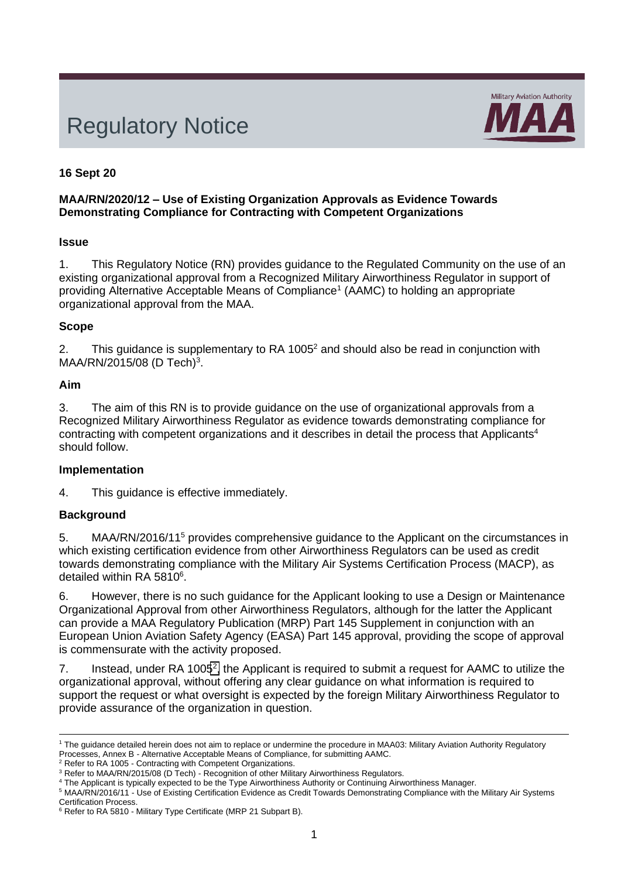# Regulatory Notice



## **16 Sept 20**

#### **MAA/RN/2020/12 – Use of Existing Organization Approvals as Evidence Towards Demonstrating Compliance for Contracting with Competent Organizations**

#### **Issue**

1. This Regulatory Notice (RN) provides guidance to the Regulated Community on the use of an existing organizational approval from a Recognized Military Airworthiness Regulator in support of providing Alternative Acceptable Means of Compliance<sup>1</sup> (AAMC) to holding an appropriate organizational approval from the MAA.

#### **Scope**

<span id="page-0-0"></span>2. This guidance is supplementary to RA 1005<sup>2</sup> and should also be read in conjunction with MAA/RN/2015/08 (D Tech)<sup>3</sup>.

#### **Aim**

3. The aim of this RN is to provide guidance on the use of organizational approvals from a Recognized Military Airworthiness Regulator as evidence towards demonstrating compliance for contracting with competent organizations and it describes in detail the process that Applicants<sup>4</sup> should follow.

## **Implementation**

4. This guidance is effective immediately.

## **Background**

5. MAA/RN/2016/11<sup>5</sup> provides comprehensive guidance to the Applicant on the circumstances in which existing certification evidence from other Airworthiness Regulators can be used as credit towards demonstrating compliance with the Military Air Systems Certification Process (MACP), as detailed within RA 5810<sup>6</sup>.

6. However, there is no such guidance for the Applicant looking to use a Design or Maintenance Organizational Approval from other Airworthiness Regulators, although for the latter the Applicant can provide a MAA Regulatory Publication (MRP) Part 145 Supplement in conjunction with an European Union Aviation Safety Agency (EASA) Part 145 approval, providing the scope of approval is commensurate with the activity proposed.

7. Instead, under RA 1005<sup>[2](#page-0-0)</sup>, the Applicant is required to submit a request for AAMC to utilize the organizational approval, without offering any clear guidance on what information is required to support the request or what oversight is expected by the foreign Military Airworthiness Regulator to provide assurance of the organization in question.

<sup>&</sup>lt;sup>1</sup> The guidance detailed herein does not aim to replace or undermine the procedure in MAA03: Military Aviation Authority Regulatory Processes, Annex B - Alternative Acceptable Means of Compliance, for submitting AAMC.

<sup>2</sup> Refer to RA 1005 - Contracting with Competent Organizations.

<sup>&</sup>lt;sup>3</sup> Refer to MAA/RN/2015/08 (D Tech) - Recognition of other Military Airworthiness Regulators.

<sup>4</sup> The Applicant is typically expected to be the Type Airworthiness Authority or Continuing Airworthiness Manager.

<sup>5</sup> MAA/RN/2016/11 - Use of Existing Certification Evidence as Credit Towards Demonstrating Compliance with the Military Air Systems Certification Process.

<sup>&</sup>lt;sup>6</sup> Refer to RA 5810 - Military Type Certificate (MRP 21 Subpart B).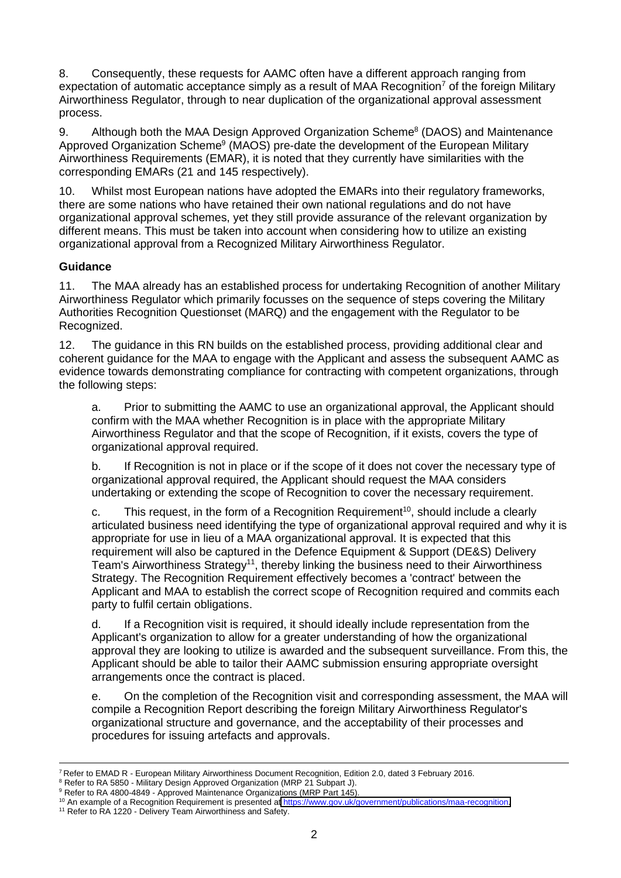8. Consequently, these requests for AAMC often have a different approach ranging from expectation of automatic acceptance simply as a result of MAA Recognition<sup>7</sup> of the foreign Military Airworthiness Regulator, through to near duplication of the organizational approval assessment process.

9. Although both the MAA Design Approved Organization Scheme<sup>8</sup> (DAOS) and Maintenance Approved Organization Scheme<sup>9</sup> (MAOS) pre-date the development of the European Military Airworthiness Requirements (EMAR), it is noted that they currently have similarities with the corresponding EMARs (21 and 145 respectively).

10. Whilst most European nations have adopted the EMARs into their regulatory frameworks, there are some nations who have retained their own national regulations and do not have organizational approval schemes, yet they still provide assurance of the relevant organization by different means. This must be taken into account when considering how to utilize an existing organizational approval from a Recognized Military Airworthiness Regulator.

## **Guidance**

11. The MAA already has an established process for undertaking Recognition of another Military Airworthiness Regulator which primarily focusses on the sequence of steps covering the Military Authorities Recognition Questionset (MARQ) and the engagement with the Regulator to be Recognized.

12. The guidance in this RN builds on the established process, providing additional clear and coherent guidance for the MAA to engage with the Applicant and assess the subsequent AAMC as evidence towards demonstrating compliance for contracting with competent organizations, through the following steps:

a. Prior to submitting the AAMC to use an organizational approval, the Applicant should confirm with the MAA whether Recognition is in place with the appropriate Military Airworthiness Regulator and that the scope of Recognition, if it exists, covers the type of organizational approval required.

b. If Recognition is not in place or if the scope of it does not cover the necessary type of organizational approval required, the Applicant should request the MAA considers undertaking or extending the scope of Recognition to cover the necessary requirement.

c. This request, in the form of a Recognition Requirement<sup>10</sup>, should include a clearly articulated business need identifying the type of organizational approval required and why it is appropriate for use in lieu of a MAA organizational approval. It is expected that this requirement will also be captured in the Defence Equipment & Support (DE&S) Delivery Team's Airworthiness Strategy<sup>11</sup>, thereby linking the business need to their Airworthiness Strategy. The Recognition Requirement effectively becomes a 'contract' between the Applicant and MAA to establish the correct scope of Recognition required and commits each party to fulfil certain obligations.

d. If a Recognition visit is required, it should ideally include representation from the Applicant's organization to allow for a greater understanding of how the organizational approval they are looking to utilize is awarded and the subsequent surveillance. From this, the Applicant should be able to tailor their AAMC submission ensuring appropriate oversight arrangements once the contract is placed.

e. On the completion of the Recognition visit and corresponding assessment, the MAA will compile a Recognition Report describing the foreign Military Airworthiness Regulator's organizational structure and governance, and the acceptability of their processes and procedures for issuing artefacts and approvals.

<sup>7</sup> Refer to EMAD R - European Military Airworthiness Document Recognition, Edition 2.0, dated 3 February 2016.

<sup>8</sup> Refer to RA 5850 - Military Design Approved Organization (MRP 21 Subpart J).

<sup>&</sup>lt;sup>9</sup> Refer to RA 4800-4849 - Approved Maintenance Organizations (MRP Part 145).

<sup>&</sup>lt;sup>10</sup> An example of a Recognition Requirement is presented at https://www.gov.uk/government/publications/maa-recognition.

<sup>&</sup>lt;sup>11</sup> Refer to RA 1220 - Delivery Team Airworthiness and Safety.